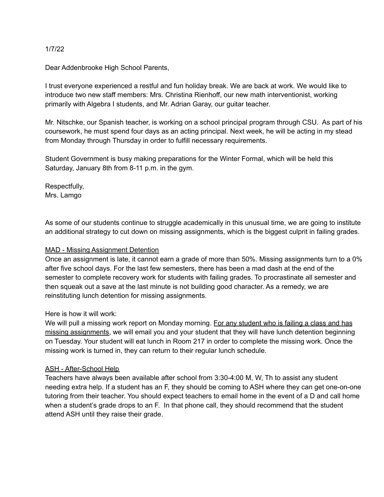#### 1/7/22

Dear Addenbrooke High School Parents,

I trust everyone experienced a restful and fun holiday break. We are back at work. We would like to introduce two new staff members: Mrs. Christina Rienhoff, our new math interventionist, working primarily with Algebra I students, and Mr. Adrian Garay, our guitar teacher.

Mr. Nitschke, our Spanish teacher, is working on a school principal program through CSU. As part of his coursework, he must spend four days as an acting principal. Next week, he will be acting in my stead from Monday through Thursday in order to fulfill necessary requirements.

Student Government is busy making preparations for the Winter Formal, which will be held this Saturday, January 8th from 8-11 p.m. in the gym.

Respectfully, Mrs. Lamgo

As some of our students continue to struggle academically in this unusual time, we are going to institute an additional strategy to cut down on missing assignments, which is the biggest culprit in failing grades.

# MAD - Missing Assignment Detention

Once an assignment is late, it cannot earn a grade of more than 50%. Missing assignments turn to a 0% after five school days. For the last few semesters, there has been a mad dash at the end of the semester to complete recovery work for students with failing grades. To procrastinate all semester and then squeak out a save at the last minute is not building good character. As a remedy, we are reinstituting lunch detention for missing assignments.

# Here is how it will work:

We will pull a missing work report on Monday morning. For any student who is failing a class and has missing assignments, we will email you and your student that they will have lunch detention beginning on Tuesday. Your student will eat lunch in Room 217 in order to complete the missing work. Once the missing work is turned in, they can return to their regular lunch schedule.

# ASH - After-School Help

Teachers have always been available after school from 3:30-4:00 M, W, Th to assist any student needing extra help. If a student has an F, they should be coming to ASH where they can get one-on-one tutoring from their teacher. You should expect teachers to email home in the event of a D and call home when a student's grade drops to an F. In that phone call, they should recommend that the student attend ASH until they raise their grade.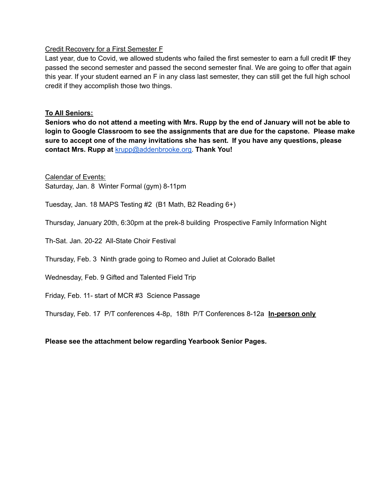#### Credit Recovery for a First Semester F

Last year, due to Covid, we allowed students who failed the first semester to earn a full credit **IF** they passed the second semester and passed the second semester final. We are going to offer that again this year. If your student earned an F in any class last semester, they can still get the full high school credit if they accomplish those two things.

# **To All Seniors:**

Seniors who do not attend a meeting with Mrs. Rupp by the end of January will not be able to **login to Google Classroom to see the assignments that are due for the capstone. Please make sure to accept one of the many invitations she has sent. If you have any questions, please contact Mrs. Rupp at** [krupp@addenbrooke.org.](mailto:krupp@addenbrooke.org) **Thank You!**

Calendar of Events:

Saturday, Jan. 8 Winter Formal (gym) 8-11pm

Tuesday, Jan. 18 MAPS Testing #2 (B1 Math, B2 Reading 6+)

Thursday, January 20th, 6:30pm at the prek-8 building Prospective Family Information Night

Th-Sat. Jan. 20-22 All-State Choir Festival

Thursday, Feb. 3 Ninth grade going to Romeo and Juliet at Colorado Ballet

Wednesday, Feb. 9 Gifted and Talented Field Trip

Friday, Feb. 11- start of MCR #3 Science Passage

Thursday, Feb. 17 P/T conferences 4-8p, 18th P/T Conferences 8-12a **In-person only**

# **Please see the attachment below regarding Yearbook Senior Pages.**